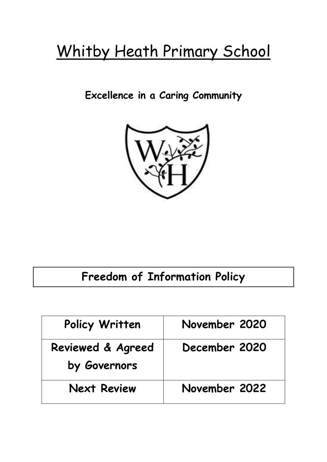# Whitby Heath Primary School

### **Excellence in a Caring Community**



## **Freedom of Information Policy**

| Policy Written                    | November 2020 |
|-----------------------------------|---------------|
| Reviewed & Agreed<br>by Governors | December 2020 |
| <b>Next Review</b>                | November 2022 |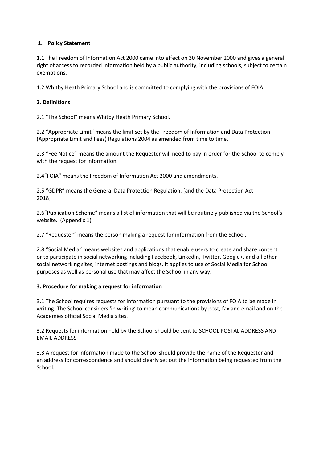#### **1. Policy Statement**

1.1 The Freedom of Information Act 2000 came into effect on 30 November 2000 and gives a general right of access to recorded information held by a public authority, including schools, subject to certain exemptions.

1.2 Whitby Heath Primary School and is committed to complying with the provisions of FOIA.

#### **2. Definitions**

2.1 "The School" means Whitby Heath Primary School.

2.2 "Appropriate Limit" means the limit set by the Freedom of Information and Data Protection (Appropriate Limit and Fees) Regulations 2004 as amended from time to time.

2.3 "Fee Notice" means the amount the Requester will need to pay in order for the School to comply with the request for information.

2.4"FOIA" means the Freedom of Information Act 2000 and amendments.

2.5 "GDPR" means the General Data Protection Regulation, [and the Data Protection Act 2018]

2.6"Publication Scheme" means a list of information that will be routinely published via the School's website. (Appendix 1)

2.7 "Requester" means the person making a request for information from the School.

2.8 "Social Media" means websites and applications that enable users to create and share content or to participate in social networking including Facebook, LinkedIn, Twitter, Google+, and all other social networking sites, internet postings and blogs. It applies to use of Social Media for School purposes as well as personal use that may affect the School in any way.

#### **3. Procedure for making a request for information**

3.1 The School requires requests for information pursuant to the provisions of FOIA to be made in writing. The School considers 'in writing' to mean communications by post, fax and email and on the Academies official Social Media sites.

3.2 Requests for information held by the School should be sent to SCHOOL POSTAL ADDRESS AND EMAIL ADDRESS

3.3 A request for information made to the School should provide the name of the Requester and an address for correspondence and should clearly set out the information being requested from the School.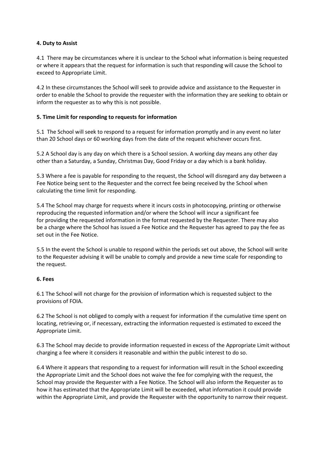#### **4. Duty to Assist**

4.1 There may be circumstances where it is unclear to the School what information is being requested or where it appears that the request for information is such that responding will cause the School to exceed to Appropriate Limit.

4.2 In these circumstances the School will seek to provide advice and assistance to the Requester in order to enable the School to provide the requester with the information they are seeking to obtain or inform the requester as to why this is not possible.

#### **5. Time Limit for responding to requests for information**

5.1 The School will seek to respond to a request for information promptly and in any event no later than 20 School days or 60 working days from the date of the request whichever occurs first.

5.2 A School day is any day on which there is a School session. A working day means any other day other than a Saturday, a Sunday, Christmas Day, Good Friday or a day which is a bank holiday.

5.3 Where a fee is payable for responding to the request, the School will disregard any day between a Fee Notice being sent to the Requester and the correct fee being received by the School when calculating the time limit for responding.

5.4 The School may charge for requests where it incurs costs in photocopying, printing or otherwise reproducing the requested information and/or where the School will incur a significant fee for providing the requested information in the format requested by the Requester. There may also be a charge where the School has issued a Fee Notice and the Requester has agreed to pay the fee as set out in the Fee Notice.

5.5 In the event the School is unable to respond within the periods set out above, the School will write to the Requester advising it will be unable to comply and provide a new time scale for responding to the request.

#### **6. Fees**

6.1 The School will not charge for the provision of information which is requested subject to the provisions of FOIA.

6.2 The School is not obliged to comply with a request for information if the cumulative time spent on locating, retrieving or, if necessary, extracting the information requested is estimated to exceed the Appropriate Limit.

6.3 The School may decide to provide information requested in excess of the Appropriate Limit without charging a fee where it considers it reasonable and within the public interest to do so.

6.4 Where it appears that responding to a request for information will result in the School exceeding the Appropriate Limit and the School does not waive the fee for complying with the request, the School may provide the Requester with a Fee Notice. The School will also inform the Requester as to how it has estimated that the Appropriate Limit will be exceeded, what information it could provide within the Appropriate Limit, and provide the Requester with the opportunity to narrow their request.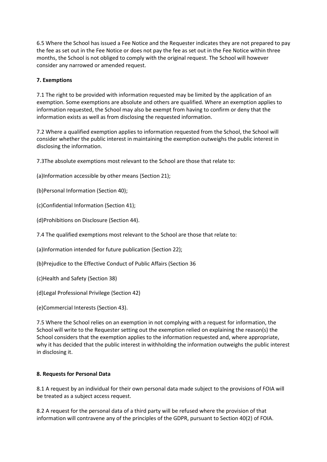6.5 Where the School has issued a Fee Notice and the Requester indicates they are not prepared to pay the fee as set out in the Fee Notice or does not pay the fee as set out in the Fee Notice within three months, the School is not obliged to comply with the original request. The School will however consider any narrowed or amended request.

#### **7. Exemptions**

7.1 The right to be provided with information requested may be limited by the application of an exemption. Some exemptions are absolute and others are qualified. Where an exemption applies to information requested, the School may also be exempt from having to confirm or deny that the information exists as well as from disclosing the requested information.

7.2 Where a qualified exemption applies to information requested from the School, the School will consider whether the public interest in maintaining the exemption outweighs the public interest in disclosing the information.

7.3The absolute exemptions most relevant to the School are those that relate to:

(a)Information accessible by other means (Section 21);

(b)Personal Information (Section 40);

(c)Confidential Information (Section 41);

(d)Prohibitions on Disclosure (Section 44).

7.4 The qualified exemptions most relevant to the School are those that relate to:

(a)Information intended for future publication (Section 22);

(b)Prejudice to the Effective Conduct of Public Affairs (Section 36

(c)Health and Safety (Section 38)

(d)Legal Professional Privilege (Section 42)

(e)Commercial Interests (Section 43).

7.5 Where the School relies on an exemption in not complying with a request for information, the School will write to the Requester setting out the exemption relied on explaining the reason(s) the School considers that the exemption applies to the information requested and, where appropriate, why it has decided that the public interest in withholding the information outweighs the public interest in disclosing it.

#### **8. Requests for Personal Data**

8.1 A request by an individual for their own personal data made subject to the provisions of FOIA will be treated as a subject access request.

8.2 A request for the personal data of a third party will be refused where the provision of that information will contravene any of the principles of the GDPR, pursuant to Section 40(2) of FOIA.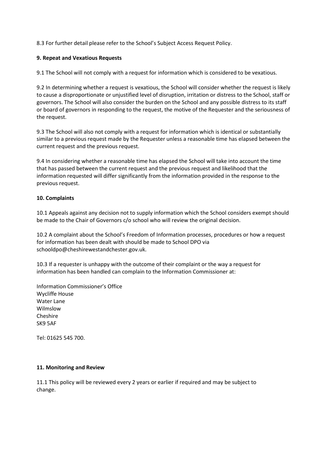8.3 For further detail please refer to the School's Subject Access Request Policy.

#### **9. Repeat and Vexatious Requests**

9.1 The School will not comply with a request for information which is considered to be vexatious.

9.2 In determining whether a request is vexatious, the School will consider whether the request is likely to cause a disproportionate or unjustified level of disruption, irritation or distress to the School, staff or governors. The School will also consider the burden on the School and any possible distress to its staff or board of governors in responding to the request, the motive of the Requester and the seriousness of the request.

9.3 The School will also not comply with a request for information which is identical or substantially similar to a previous request made by the Requester unless a reasonable time has elapsed between the current request and the previous request.

9.4 In considering whether a reasonable time has elapsed the School will take into account the time that has passed between the current request and the previous request and likelihood that the information requested will differ significantly from the information provided in the response to the previous request.

#### **10. Complaints**

10.1 Appeals against any decision not to supply information which the School considers exempt should be made to the Chair of Governors c/o school who will review the original decision.

10.2 A complaint about the School's Freedom of Information processes, procedures or how a request for information has been dealt with should be made to School DPO via schooldpo@cheshirewestandchester.gov.uk.

10.3 If a requester is unhappy with the outcome of their complaint or the way a request for information has been handled can complain to the Information Commissioner at:

Information Commissioner's Office Wycliffe House Water Lane Wilmslow Cheshire SK9 5AF

Tel: 01625 545 700.

#### **11. Monitoring and Review**

11.1 This policy will be reviewed every 2 years or earlier if required and may be subject to change.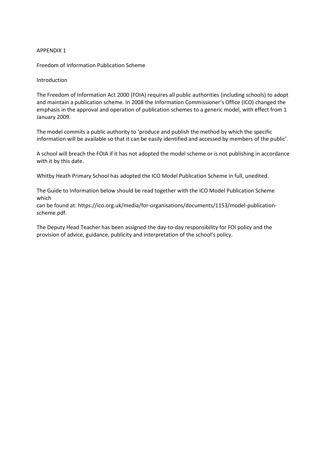#### APPENDIX 1

Freedom of Information Publication Scheme

#### Introduction

The Freedom of Information Act 2000 (FOIA) requires all public authorities (including schools) to adopt and maintain a publication scheme. In 2008 the Information Commissioner's Office (ICO) changed the emphasis in the approval and operation of publication schemes to a generic model, with effect from 1 January 2009.

The model commits a public authority to 'produce and publish the method by which the specific information will be available so that it can be easily identified and accessed by members of the public'.

A school will breach the FOIA if it has not adopted the model scheme or is not publishing in accordance with it by this date.

Whitby Heath Primary School has adopted the ICO Model Publication Scheme in full, unedited.

The Guide to Information below should be read together with the ICO Model Publication Scheme which

can be found at: https://ico.org.uk/media/for-organisations/documents/1153/model-publicationscheme.pdf.

The Deputy Head Teacher has been assigned the day-to-day responsibility for FOI policy and the provision of advice, guidance, publicity and interpretation of the school's policy.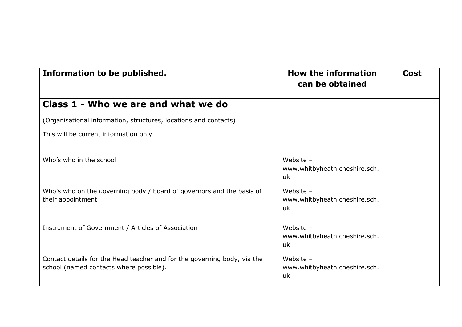| Information to be published.                                                                                        | <b>How the information</b><br>can be obtained      | <b>Cost</b> |
|---------------------------------------------------------------------------------------------------------------------|----------------------------------------------------|-------------|
| Class 1 - Who we are and what we do                                                                                 |                                                    |             |
| (Organisational information, structures, locations and contacts)                                                    |                                                    |             |
| This will be current information only                                                                               |                                                    |             |
| Who's who in the school                                                                                             | Website -<br>www.whitbyheath.cheshire.sch.<br>uk   |             |
| Who's who on the governing body / board of governors and the basis of<br>their appointment                          | Website $-$<br>www.whitbyheath.cheshire.sch.<br>uk |             |
| Instrument of Government / Articles of Association                                                                  | Website -<br>www.whitbyheath.cheshire.sch.<br>uk   |             |
| Contact details for the Head teacher and for the governing body, via the<br>school (named contacts where possible). | Website -<br>www.whitbyheath.cheshire.sch.<br>uk   |             |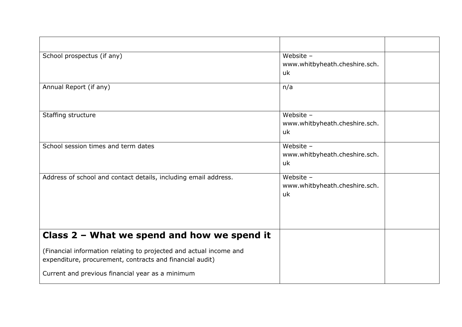| School prospectus (if any)                                                                                                     | Website -<br>www.whitbyheath.cheshire.sch.<br>uk   |  |
|--------------------------------------------------------------------------------------------------------------------------------|----------------------------------------------------|--|
| Annual Report (if any)                                                                                                         | n/a                                                |  |
| Staffing structure                                                                                                             | Website -<br>www.whitbyheath.cheshire.sch.<br>uk   |  |
| School session times and term dates                                                                                            | Website -<br>www.whitbyheath.cheshire.sch.<br>uk   |  |
| Address of school and contact details, including email address.                                                                | Website $-$<br>www.whitbyheath.cheshire.sch.<br>uk |  |
| Class $2$ – What we spend and how we spend it                                                                                  |                                                    |  |
| (Financial information relating to projected and actual income and<br>expenditure, procurement, contracts and financial audit) |                                                    |  |
| Current and previous financial year as a minimum                                                                               |                                                    |  |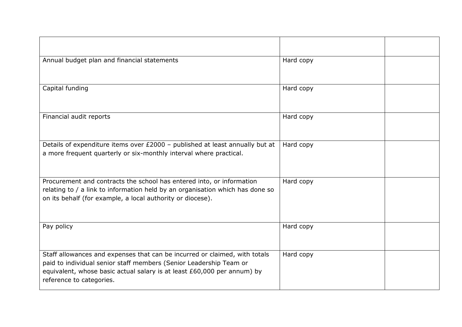| Annual budget plan and financial statements                                                                                                                                                                                                             | Hard copy |  |
|---------------------------------------------------------------------------------------------------------------------------------------------------------------------------------------------------------------------------------------------------------|-----------|--|
| Capital funding                                                                                                                                                                                                                                         | Hard copy |  |
| Financial audit reports                                                                                                                                                                                                                                 | Hard copy |  |
| Details of expenditure items over £2000 - published at least annually but at<br>a more frequent quarterly or six-monthly interval where practical.                                                                                                      | Hard copy |  |
| Procurement and contracts the school has entered into, or information<br>relating to / a link to information held by an organisation which has done so<br>on its behalf (for example, a local authority or diocese).                                    | Hard copy |  |
| Pay policy                                                                                                                                                                                                                                              | Hard copy |  |
| Staff allowances and expenses that can be incurred or claimed, with totals<br>paid to individual senior staff members (Senior Leadership Team or<br>equivalent, whose basic actual salary is at least £60,000 per annum) by<br>reference to categories. | Hard copy |  |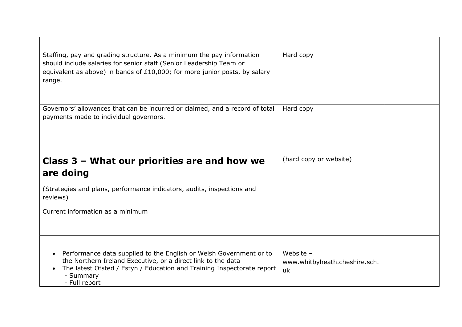| Staffing, pay and grading structure. As a minimum the pay information<br>should include salaries for senior staff (Senior Leadership Team or<br>equivalent as above) in bands of $£10,000$ ; for more junior posts, by salary<br>range.                 | Hard copy                                          |  |
|---------------------------------------------------------------------------------------------------------------------------------------------------------------------------------------------------------------------------------------------------------|----------------------------------------------------|--|
| Governors' allowances that can be incurred or claimed, and a record of total<br>payments made to individual governors.                                                                                                                                  | Hard copy                                          |  |
| Class 3 – What our priorities are and how we<br>are doing                                                                                                                                                                                               | (hard copy or website)                             |  |
| (Strategies and plans, performance indicators, audits, inspections and<br>reviews)                                                                                                                                                                      |                                                    |  |
| Current information as a minimum                                                                                                                                                                                                                        |                                                    |  |
| Performance data supplied to the English or Welsh Government or to<br>$\bullet$<br>the Northern Ireland Executive, or a direct link to the data<br>The latest Ofsted / Estyn / Education and Training Inspectorate report<br>- Summary<br>- Full report | Website $-$<br>www.whitbyheath.cheshire.sch.<br>uk |  |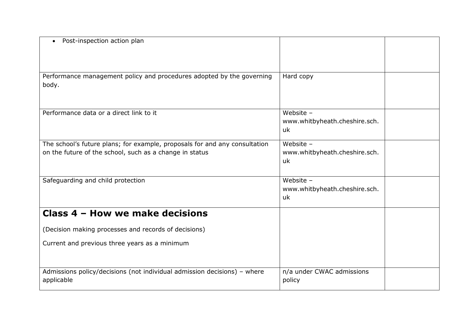| Post-inspection action plan                                                                                                           |                                                    |  |
|---------------------------------------------------------------------------------------------------------------------------------------|----------------------------------------------------|--|
| Performance management policy and procedures adopted by the governing<br>body.                                                        | Hard copy                                          |  |
| Performance data or a direct link to it                                                                                               | Website -<br>www.whitbyheath.cheshire.sch.<br>uk   |  |
| The school's future plans; for example, proposals for and any consultation<br>on the future of the school, such as a change in status | Website $-$<br>www.whitbyheath.cheshire.sch.<br>uk |  |
| Safeguarding and child protection                                                                                                     | Website $-$<br>www.whitbyheath.cheshire.sch.<br>uk |  |
| Class 4 - How we make decisions                                                                                                       |                                                    |  |
| (Decision making processes and records of decisions)                                                                                  |                                                    |  |
| Current and previous three years as a minimum                                                                                         |                                                    |  |
| Admissions policy/decisions (not individual admission decisions) - where<br>applicable                                                | n/a under CWAC admissions<br>policy                |  |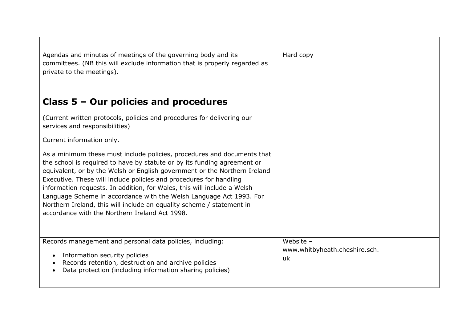| Agendas and minutes of meetings of the governing body and its<br>committees. (NB this will exclude information that is properly regarded as<br>private to the meetings).                                                                                                                                                                                                                                                                                                                                                                                                            | Hard copy                                          |  |
|-------------------------------------------------------------------------------------------------------------------------------------------------------------------------------------------------------------------------------------------------------------------------------------------------------------------------------------------------------------------------------------------------------------------------------------------------------------------------------------------------------------------------------------------------------------------------------------|----------------------------------------------------|--|
| Class $5 -$ Our policies and procedures                                                                                                                                                                                                                                                                                                                                                                                                                                                                                                                                             |                                                    |  |
| (Current written protocols, policies and procedures for delivering our<br>services and responsibilities)                                                                                                                                                                                                                                                                                                                                                                                                                                                                            |                                                    |  |
| Current information only.                                                                                                                                                                                                                                                                                                                                                                                                                                                                                                                                                           |                                                    |  |
| As a minimum these must include policies, procedures and documents that<br>the school is required to have by statute or by its funding agreement or<br>equivalent, or by the Welsh or English government or the Northern Ireland<br>Executive. These will include policies and procedures for handling<br>information requests. In addition, for Wales, this will include a Welsh<br>Language Scheme in accordance with the Welsh Language Act 1993. For<br>Northern Ireland, this will include an equality scheme / statement in<br>accordance with the Northern Ireland Act 1998. |                                                    |  |
| Records management and personal data policies, including:<br>Information security policies<br>Records retention, destruction and archive policies<br>Data protection (including information sharing policies)                                                                                                                                                                                                                                                                                                                                                                       | Website $-$<br>www.whitbyheath.cheshire.sch.<br>uk |  |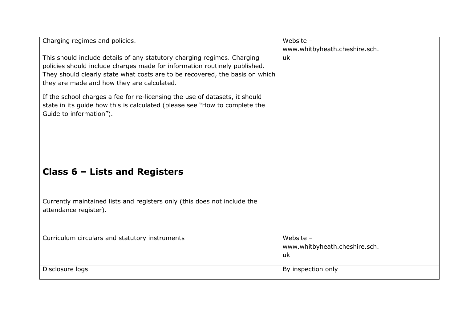| Charging regimes and policies.                                                                                                                                                                                                                                                     | Website -                                          |  |
|------------------------------------------------------------------------------------------------------------------------------------------------------------------------------------------------------------------------------------------------------------------------------------|----------------------------------------------------|--|
| This should include details of any statutory charging regimes. Charging<br>policies should include charges made for information routinely published.<br>They should clearly state what costs are to be recovered, the basis on which<br>they are made and how they are calculated. | www.whitbyheath.cheshire.sch.<br>uk                |  |
| If the school charges a fee for re-licensing the use of datasets, it should<br>state in its guide how this is calculated (please see "How to complete the<br>Guide to information").                                                                                               |                                                    |  |
| Class $6$ – Lists and Registers                                                                                                                                                                                                                                                    |                                                    |  |
|                                                                                                                                                                                                                                                                                    |                                                    |  |
| Currently maintained lists and registers only (this does not include the<br>attendance register).                                                                                                                                                                                  |                                                    |  |
| Curriculum circulars and statutory instruments                                                                                                                                                                                                                                     | Website $-$<br>www.whitbyheath.cheshire.sch.<br>uk |  |
| Disclosure logs                                                                                                                                                                                                                                                                    | By inspection only                                 |  |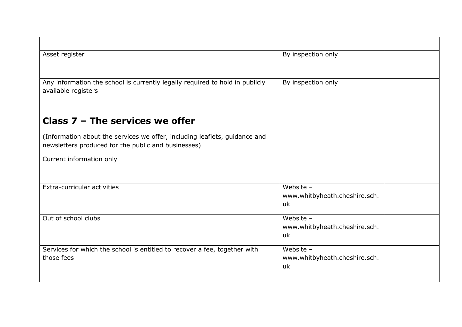| Asset register                                                                                                                    | By inspection only                                 |
|-----------------------------------------------------------------------------------------------------------------------------------|----------------------------------------------------|
| Any information the school is currently legally required to hold in publicly<br>available registers                               | By inspection only                                 |
| Class $7$ – The services we offer                                                                                                 |                                                    |
| (Information about the services we offer, including leaflets, guidance and<br>newsletters produced for the public and businesses) |                                                    |
| Current information only                                                                                                          |                                                    |
| Extra-curricular activities                                                                                                       | Website -<br>www.whitbyheath.cheshire.sch.<br>uk   |
| Out of school clubs                                                                                                               | Website -<br>www.whitbyheath.cheshire.sch.<br>uk   |
| Services for which the school is entitled to recover a fee, together with<br>those fees                                           | Website $-$<br>www.whitbyheath.cheshire.sch.<br>uk |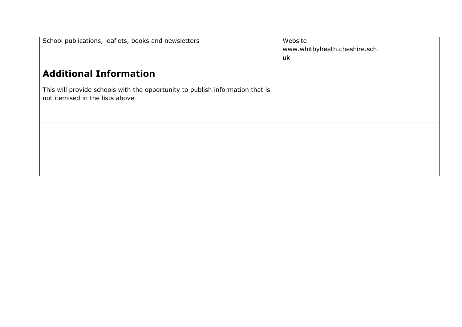| School publications, leaflets, books and newsletters                                                             | Website -<br>www.whitbyheath.cheshire.sch.<br>uk |  |
|------------------------------------------------------------------------------------------------------------------|--------------------------------------------------|--|
| <b>Additional Information</b>                                                                                    |                                                  |  |
| This will provide schools with the opportunity to publish information that is<br>not itemised in the lists above |                                                  |  |
|                                                                                                                  |                                                  |  |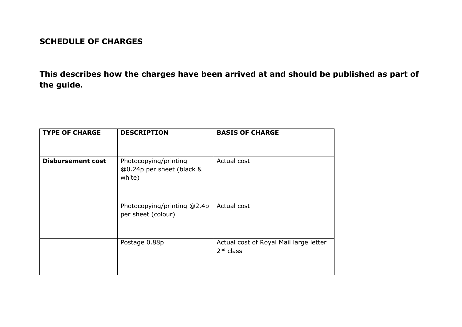### **SCHEDULE OF CHARGES**

**This describes how the charges have been arrived at and should be published as part of the guide.**

| <b>TYPE OF CHARGE</b>    | <b>DESCRIPTION</b>                                           | <b>BASIS OF CHARGE</b>                                |
|--------------------------|--------------------------------------------------------------|-------------------------------------------------------|
| <b>Disbursement cost</b> | Photocopying/printing<br>@0.24p per sheet (black &<br>white) | Actual cost                                           |
|                          | Photocopying/printing @2.4p<br>per sheet (colour)            | Actual cost                                           |
|                          | Postage 0.88p                                                | Actual cost of Royal Mail large letter<br>$2nd$ class |